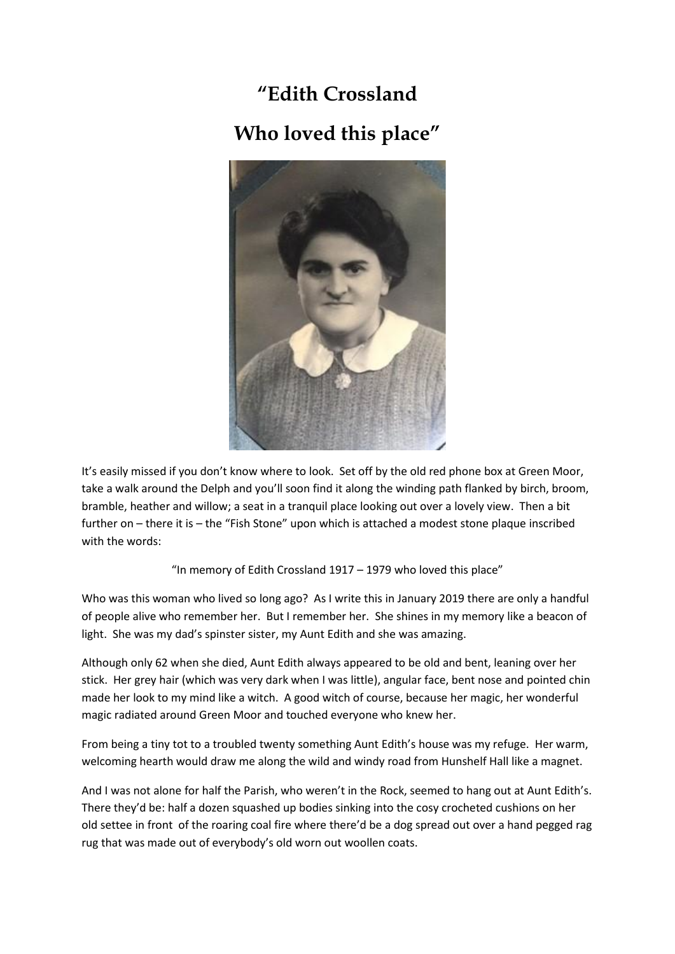# **"Edith Crossland Who loved this place"**



It's easily missed if you don't know where to look. Set off by the old red phone box at Green Moor, take a walk around the Delph and you'll soon find it along the winding path flanked by birch, broom, bramble, heather and willow; a seat in a tranquil place looking out over a lovely view. Then a bit further on – there it is – the "Fish Stone" upon which is attached a modest stone plaque inscribed with the words:

### "In memory of Edith Crossland 1917 – 1979 who loved this place"

Who was this woman who lived so long ago? As I write this in January 2019 there are only a handful of people alive who remember her. But I remember her. She shines in my memory like a beacon of light. She was my dad's spinster sister, my Aunt Edith and she was amazing.

Although only 62 when she died, Aunt Edith always appeared to be old and bent, leaning over her stick. Her grey hair (which was very dark when I was little), angular face, bent nose and pointed chin made her look to my mind like a witch. A good witch of course, because her magic, her wonderful magic radiated around Green Moor and touched everyone who knew her.

From being a tiny tot to a troubled twenty something Aunt Edith's house was my refuge. Her warm, welcoming hearth would draw me along the wild and windy road from Hunshelf Hall like a magnet.

And I was not alone for half the Parish, who weren't in the Rock, seemed to hang out at Aunt Edith's. There they'd be: half a dozen squashed up bodies sinking into the cosy crocheted cushions on her old settee in front of the roaring coal fire where there'd be a dog spread out over a hand pegged rag rug that was made out of everybody's old worn out woollen coats.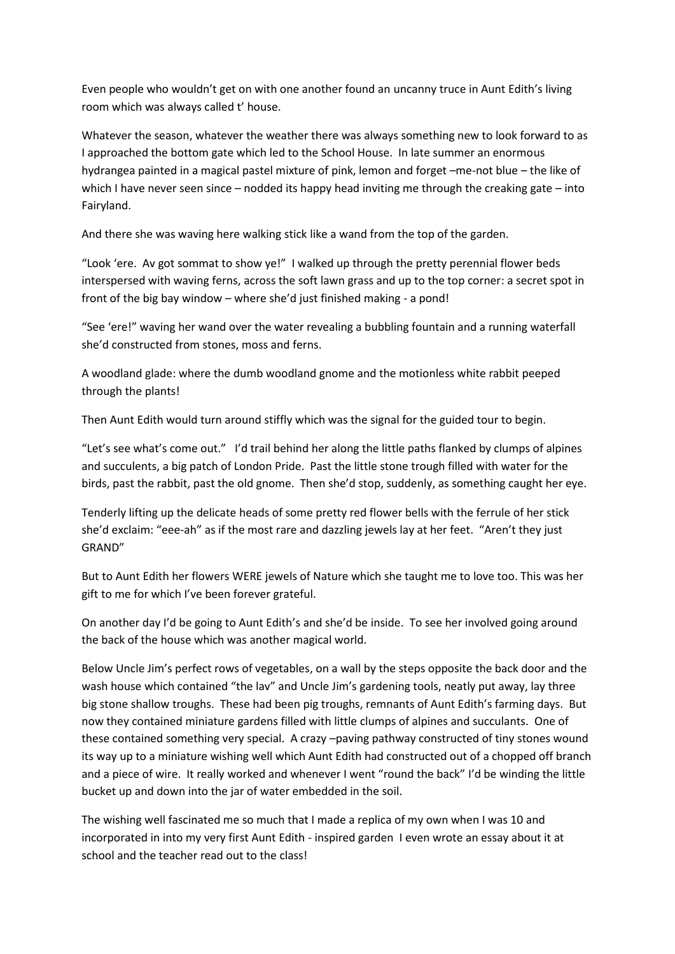Even people who wouldn't get on with one another found an uncanny truce in Aunt Edith's living room which was always called t' house.

Whatever the season, whatever the weather there was always something new to look forward to as I approached the bottom gate which led to the School House. In late summer an enormous hydrangea painted in a magical pastel mixture of pink, lemon and forget –me-not blue – the like of which I have never seen since – nodded its happy head inviting me through the creaking gate – into Fairyland.

And there she was waving here walking stick like a wand from the top of the garden.

"Look 'ere. Av got sommat to show ye!" I walked up through the pretty perennial flower beds interspersed with waving ferns, across the soft lawn grass and up to the top corner: a secret spot in front of the big bay window – where she'd just finished making - a pond!

"See 'ere!" waving her wand over the water revealing a bubbling fountain and a running waterfall she'd constructed from stones, moss and ferns.

A woodland glade: where the dumb woodland gnome and the motionless white rabbit peeped through the plants!

Then Aunt Edith would turn around stiffly which was the signal for the guided tour to begin.

"Let's see what's come out." I'd trail behind her along the little paths flanked by clumps of alpines and succulents, a big patch of London Pride. Past the little stone trough filled with water for the birds, past the rabbit, past the old gnome. Then she'd stop, suddenly, as something caught her eye.

Tenderly lifting up the delicate heads of some pretty red flower bells with the ferrule of her stick she'd exclaim: "eee-ah" as if the most rare and dazzling jewels lay at her feet. "Aren't they just GRAND"

But to Aunt Edith her flowers WERE jewels of Nature which she taught me to love too. This was her gift to me for which I've been forever grateful.

On another day I'd be going to Aunt Edith's and she'd be inside. To see her involved going around the back of the house which was another magical world.

Below Uncle Jim's perfect rows of vegetables, on a wall by the steps opposite the back door and the wash house which contained "the lav" and Uncle Jim's gardening tools, neatly put away, lay three big stone shallow troughs. These had been pig troughs, remnants of Aunt Edith's farming days. But now they contained miniature gardens filled with little clumps of alpines and succulants. One of these contained something very special. A crazy –paving pathway constructed of tiny stones wound its way up to a miniature wishing well which Aunt Edith had constructed out of a chopped off branch and a piece of wire. It really worked and whenever I went "round the back" I'd be winding the little bucket up and down into the jar of water embedded in the soil.

The wishing well fascinated me so much that I made a replica of my own when I was 10 and incorporated in into my very first Aunt Edith - inspired garden I even wrote an essay about it at school and the teacher read out to the class!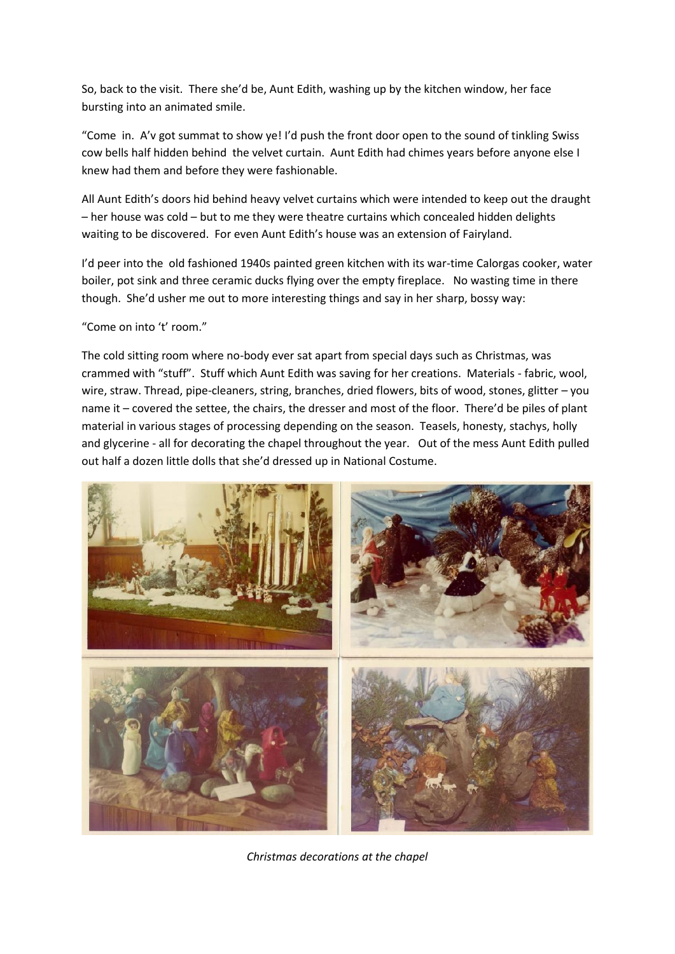So, back to the visit. There she'd be, Aunt Edith, washing up by the kitchen window, her face bursting into an animated smile.

"Come in. A'v got summat to show ye! I'd push the front door open to the sound of tinkling Swiss cow bells half hidden behind the velvet curtain. Aunt Edith had chimes years before anyone else I knew had them and before they were fashionable.

All Aunt Edith's doors hid behind heavy velvet curtains which were intended to keep out the draught – her house was cold – but to me they were theatre curtains which concealed hidden delights waiting to be discovered. For even Aunt Edith's house was an extension of Fairyland.

I'd peer into the old fashioned 1940s painted green kitchen with its war-time Calorgas cooker, water boiler, pot sink and three ceramic ducks flying over the empty fireplace. No wasting time in there though. She'd usher me out to more interesting things and say in her sharp, bossy way:

"Come on into 't' room."

The cold sitting room where no-body ever sat apart from special days such as Christmas, was crammed with "stuff". Stuff which Aunt Edith was saving for her creations. Materials - fabric, wool, wire, straw. Thread, pipe-cleaners, string, branches, dried flowers, bits of wood, stones, glitter – you name it – covered the settee, the chairs, the dresser and most of the floor. There'd be piles of plant material in various stages of processing depending on the season. Teasels, honesty, stachys, holly and glycerine - all for decorating the chapel throughout the year. Out of the mess Aunt Edith pulled out half a dozen little dolls that she'd dressed up in National Costume.



*Christmas decorations at the chapel*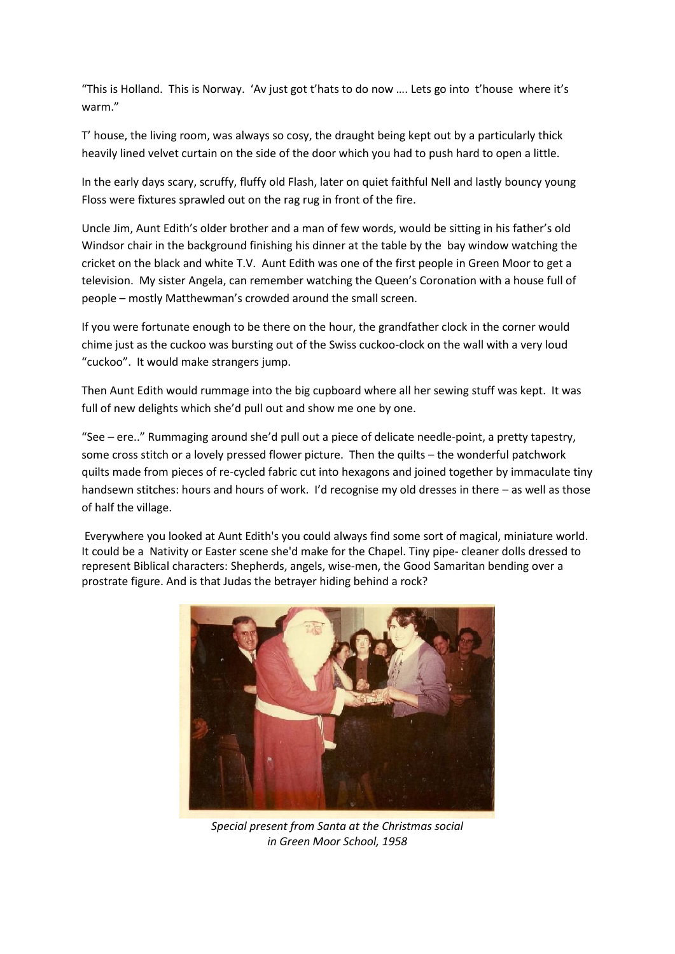"This is Holland. This is Norway. 'Av just got t'hats to do now …. Lets go into t'house where it's warm."

T' house, the living room, was always so cosy, the draught being kept out by a particularly thick heavily lined velvet curtain on the side of the door which you had to push hard to open a little.

In the early days scary, scruffy, fluffy old Flash, later on quiet faithful Nell and lastly bouncy young Floss were fixtures sprawled out on the rag rug in front of the fire.

Uncle Jim, Aunt Edith's older brother and a man of few words, would be sitting in his father's old Windsor chair in the background finishing his dinner at the table by the bay window watching the cricket on the black and white T.V. Aunt Edith was one of the first people in Green Moor to get a television. My sister Angela, can remember watching the Queen's Coronation with a house full of people – mostly Matthewman's crowded around the small screen.

If you were fortunate enough to be there on the hour, the grandfather clock in the corner would chime just as the cuckoo was bursting out of the Swiss cuckoo-clock on the wall with a very loud "cuckoo". It would make strangers jump.

Then Aunt Edith would rummage into the big cupboard where all her sewing stuff was kept. It was full of new delights which she'd pull out and show me one by one.

"See – ere.." Rummaging around she'd pull out a piece of delicate needle-point, a pretty tapestry, some cross stitch or a lovely pressed flower picture. Then the quilts – the wonderful patchwork quilts made from pieces of re-cycled fabric cut into hexagons and joined together by immaculate tiny handsewn stitches: hours and hours of work. I'd recognise my old dresses in there – as well as those of half the village.

Everywhere you looked at Aunt Edith's you could always find some sort of magical, miniature world. It could be a Nativity or Easter scene she'd make for the Chapel. Tiny pipe- cleaner dolls dressed to represent Biblical characters: Shepherds, angels, wise-men, the Good Samaritan bending over a prostrate figure. And is that Judas the betrayer hiding behind a rock?



*Special present from Santa at the Christmas social in Green Moor School, 1958*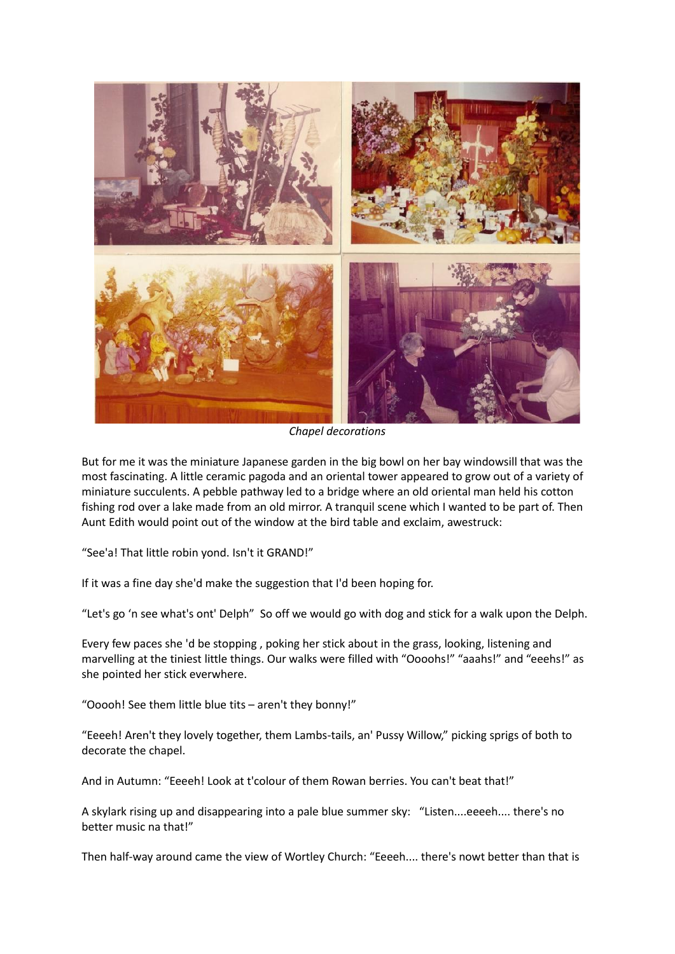

*Chapel decorations*

But for me it was the miniature Japanese garden in the big bowl on her bay windowsill that was the most fascinating. A little ceramic pagoda and an oriental tower appeared to grow out of a variety of miniature succulents. A pebble pathway led to a bridge where an old oriental man held his cotton fishing rod over a lake made from an old mirror. A tranquil scene which I wanted to be part of. Then Aunt Edith would point out of the window at the bird table and exclaim, awestruck:

"See'a! That little robin yond. Isn't it GRAND!"

If it was a fine day she'd make the suggestion that I'd been hoping for.

"Let's go 'n see what's ont' Delph" So off we would go with dog and stick for a walk upon the Delph.

Every few paces she 'd be stopping , poking her stick about in the grass, looking, listening and marvelling at the tiniest little things. Our walks were filled with "Oooohs!" "aaahs!" and "eeehs!" as she pointed her stick everwhere.

"Ooooh! See them little blue tits – aren't they bonny!"

"Eeeeh! Aren't they lovely together, them Lambs-tails, an' Pussy Willow," picking sprigs of both to decorate the chapel.

And in Autumn: "Eeeeh! Look at t'colour of them Rowan berries. You can't beat that!"

A skylark rising up and disappearing into a pale blue summer sky: "Listen....eeeeh.... there's no better music na that!"

Then half-way around came the view of Wortley Church: "Eeeeh.... there's nowt better than that is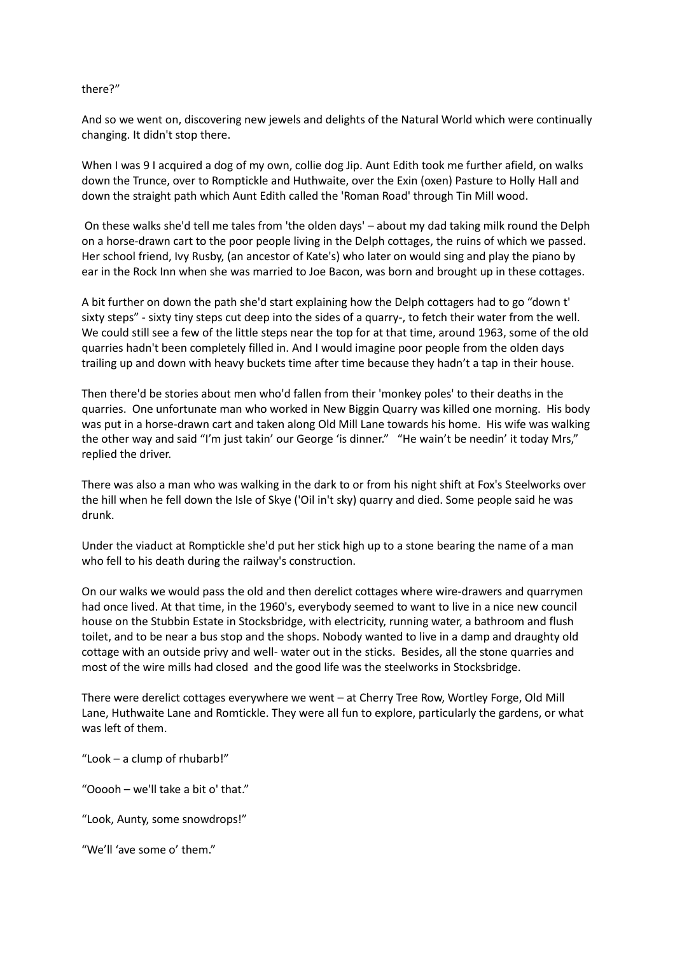#### there?"

And so we went on, discovering new jewels and delights of the Natural World which were continually changing. It didn't stop there.

When I was 9 I acquired a dog of my own, collie dog Jip. Aunt Edith took me further afield, on walks down the Trunce, over to Romptickle and Huthwaite, over the Exin (oxen) Pasture to Holly Hall and down the straight path which Aunt Edith called the 'Roman Road' through Tin Mill wood.

On these walks she'd tell me tales from 'the olden days' – about my dad taking milk round the Delph on a horse-drawn cart to the poor people living in the Delph cottages, the ruins of which we passed. Her school friend, Ivy Rusby, (an ancestor of Kate's) who later on would sing and play the piano by ear in the Rock Inn when she was married to Joe Bacon, was born and brought up in these cottages.

A bit further on down the path she'd start explaining how the Delph cottagers had to go "down t' sixty steps" - sixty tiny steps cut deep into the sides of a quarry-, to fetch their water from the well. We could still see a few of the little steps near the top for at that time, around 1963, some of the old quarries hadn't been completely filled in. And I would imagine poor people from the olden days trailing up and down with heavy buckets time after time because they hadn't a tap in their house.

Then there'd be stories about men who'd fallen from their 'monkey poles' to their deaths in the quarries. One unfortunate man who worked in New Biggin Quarry was killed one morning. His body was put in a horse-drawn cart and taken along Old Mill Lane towards his home. His wife was walking the other way and said "I'm just takin' our George 'is dinner." "He wain't be needin' it today Mrs," replied the driver.

There was also a man who was walking in the dark to or from his night shift at Fox's Steelworks over the hill when he fell down the Isle of Skye ('Oil in't sky) quarry and died. Some people said he was drunk.

Under the viaduct at Romptickle she'd put her stick high up to a stone bearing the name of a man who fell to his death during the railway's construction.

On our walks we would pass the old and then derelict cottages where wire-drawers and quarrymen had once lived. At that time, in the 1960's, everybody seemed to want to live in a nice new council house on the Stubbin Estate in Stocksbridge, with electricity, running water, a bathroom and flush toilet, and to be near a bus stop and the shops. Nobody wanted to live in a damp and draughty old cottage with an outside privy and well- water out in the sticks. Besides, all the stone quarries and most of the wire mills had closed and the good life was the steelworks in Stocksbridge.

There were derelict cottages everywhere we went – at Cherry Tree Row, Wortley Forge, Old Mill Lane, Huthwaite Lane and Romtickle. They were all fun to explore, particularly the gardens, or what was left of them.

"Look – a clump of rhubarb!"

"Ooooh – we'll take a bit o' that."

"Look, Aunty, some snowdrops!"

"We'll 'ave some o' them."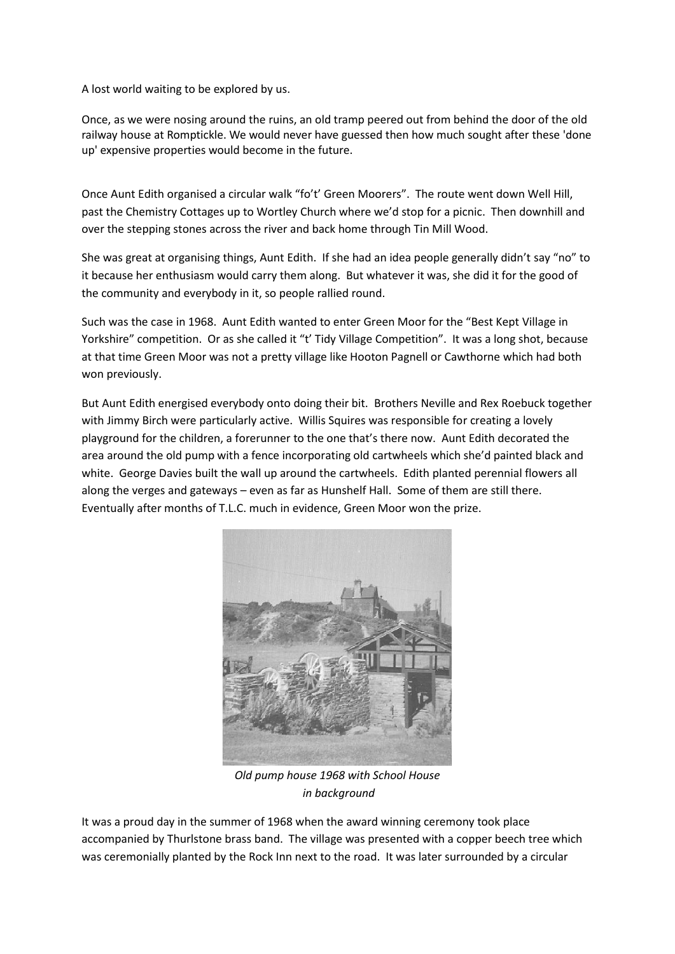A lost world waiting to be explored by us.

Once, as we were nosing around the ruins, an old tramp peered out from behind the door of the old railway house at Romptickle. We would never have guessed then how much sought after these 'done up' expensive properties would become in the future.

Once Aunt Edith organised a circular walk "fo't' Green Moorers". The route went down Well Hill, past the Chemistry Cottages up to Wortley Church where we'd stop for a picnic. Then downhill and over the stepping stones across the river and back home through Tin Mill Wood.

She was great at organising things, Aunt Edith. If she had an idea people generally didn't say "no" to it because her enthusiasm would carry them along. But whatever it was, she did it for the good of the community and everybody in it, so people rallied round.

Such was the case in 1968. Aunt Edith wanted to enter Green Moor for the "Best Kept Village in Yorkshire" competition. Or as she called it "t' Tidy Village Competition". It was a long shot, because at that time Green Moor was not a pretty village like Hooton Pagnell or Cawthorne which had both won previously.

But Aunt Edith energised everybody onto doing their bit. Brothers Neville and Rex Roebuck together with Jimmy Birch were particularly active. Willis Squires was responsible for creating a lovely playground for the children, a forerunner to the one that's there now. Aunt Edith decorated the area around the old pump with a fence incorporating old cartwheels which she'd painted black and white. George Davies built the wall up around the cartwheels. Edith planted perennial flowers all along the verges and gateways – even as far as Hunshelf Hall. Some of them are still there. Eventually after months of T.L.C. much in evidence, Green Moor won the prize.



*Old pump house 1968 with School House in background*

It was a proud day in the summer of 1968 when the award winning ceremony took place accompanied by Thurlstone brass band. The village was presented with a copper beech tree which was ceremonially planted by the Rock Inn next to the road. It was later surrounded by a circular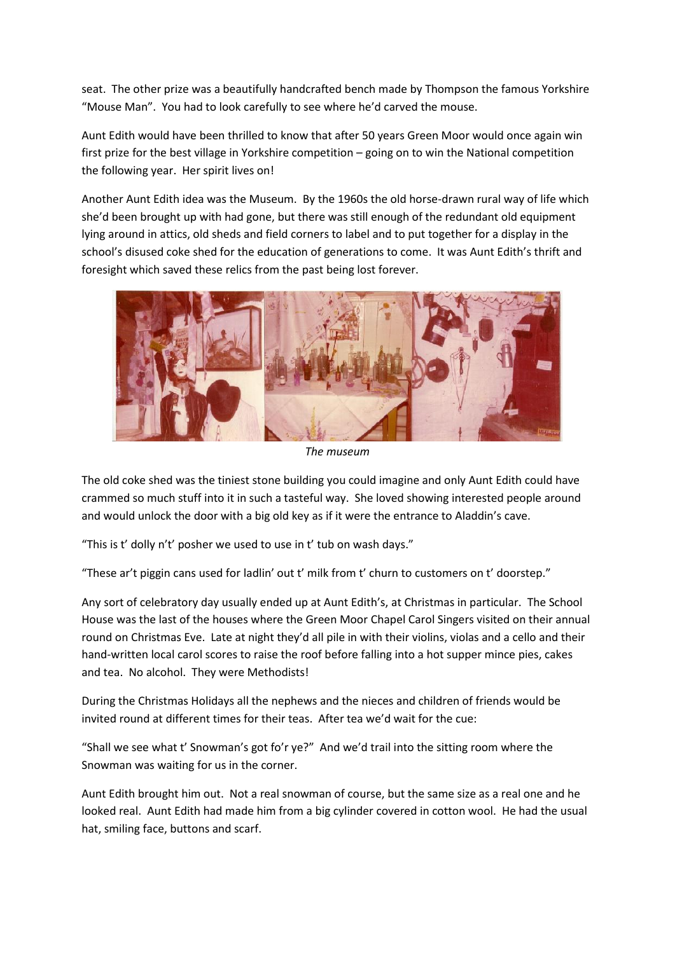seat. The other prize was a beautifully handcrafted bench made by Thompson the famous Yorkshire "Mouse Man". You had to look carefully to see where he'd carved the mouse.

Aunt Edith would have been thrilled to know that after 50 years Green Moor would once again win first prize for the best village in Yorkshire competition – going on to win the National competition the following year. Her spirit lives on!

Another Aunt Edith idea was the Museum. By the 1960s the old horse-drawn rural way of life which she'd been brought up with had gone, but there was still enough of the redundant old equipment lying around in attics, old sheds and field corners to label and to put together for a display in the school's disused coke shed for the education of generations to come. It was Aunt Edith's thrift and foresight which saved these relics from the past being lost forever.



*The museum*

The old coke shed was the tiniest stone building you could imagine and only Aunt Edith could have crammed so much stuff into it in such a tasteful way. She loved showing interested people around and would unlock the door with a big old key as if it were the entrance to Aladdin's cave.

"This is t' dolly n't' posher we used to use in t' tub on wash days."

"These ar't piggin cans used for ladlin' out t' milk from t' churn to customers on t' doorstep."

Any sort of celebratory day usually ended up at Aunt Edith's, at Christmas in particular. The School House was the last of the houses where the Green Moor Chapel Carol Singers visited on their annual round on Christmas Eve. Late at night they'd all pile in with their violins, violas and a cello and their hand-written local carol scores to raise the roof before falling into a hot supper mince pies, cakes and tea. No alcohol. They were Methodists!

During the Christmas Holidays all the nephews and the nieces and children of friends would be invited round at different times for their teas. After tea we'd wait for the cue:

"Shall we see what t' Snowman's got fo'r ye?" And we'd trail into the sitting room where the Snowman was waiting for us in the corner.

Aunt Edith brought him out. Not a real snowman of course, but the same size as a real one and he looked real. Aunt Edith had made him from a big cylinder covered in cotton wool. He had the usual hat, smiling face, buttons and scarf.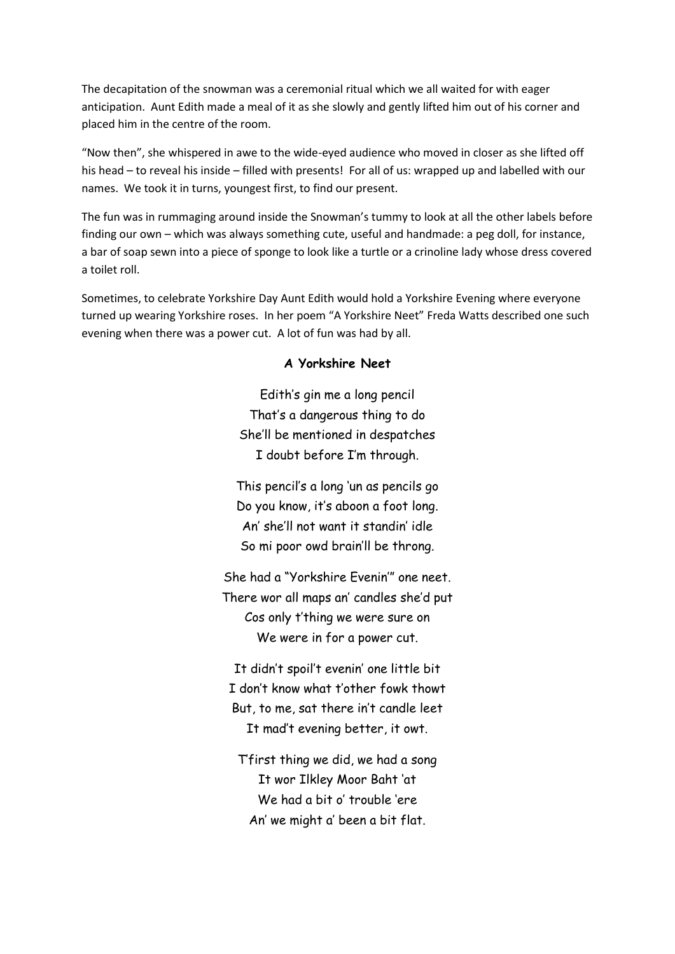The decapitation of the snowman was a ceremonial ritual which we all waited for with eager anticipation. Aunt Edith made a meal of it as she slowly and gently lifted him out of his corner and placed him in the centre of the room.

"Now then", she whispered in awe to the wide-eyed audience who moved in closer as she lifted off his head – to reveal his inside – filled with presents! For all of us: wrapped up and labelled with our names. We took it in turns, youngest first, to find our present.

The fun was in rummaging around inside the Snowman's tummy to look at all the other labels before finding our own – which was always something cute, useful and handmade: a peg doll, for instance, a bar of soap sewn into a piece of sponge to look like a turtle or a crinoline lady whose dress covered a toilet roll.

Sometimes, to celebrate Yorkshire Day Aunt Edith would hold a Yorkshire Evening where everyone turned up wearing Yorkshire roses. In her poem "A Yorkshire Neet" Freda Watts described one such evening when there was a power cut. A lot of fun was had by all.

#### **A Yorkshire Neet**

Edith's gin me a long pencil That's a dangerous thing to do She'll be mentioned in despatches I doubt before I'm through.

This pencil's a long 'un as pencils go Do you know, it's aboon a foot long. An' she'll not want it standin' idle So mi poor owd brain'll be throng.

She had a "Yorkshire Evenin'" one neet. There wor all maps an' candles she'd put Cos only t'thing we were sure on We were in for a power cut.

It didn't spoil't evenin' one little bit I don't know what t'other fowk thowt But, to me, sat there in't candle leet It mad't evening better, it owt.

T'first thing we did, we had a song It wor Ilkley Moor Baht 'at We had a bit o' trouble 'ere An' we might a' been a bit flat.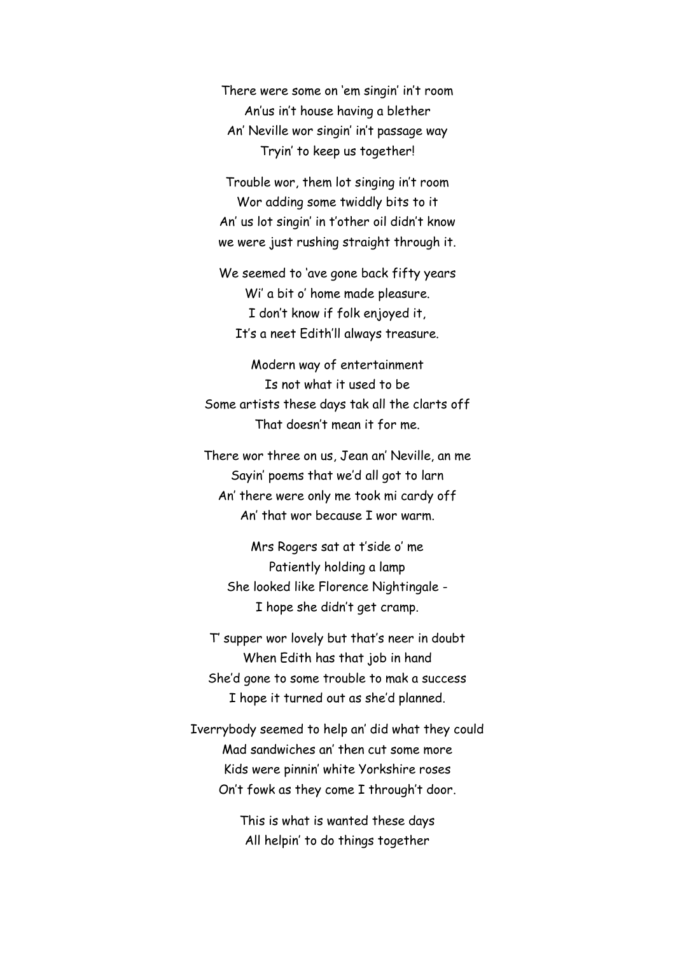There were some on 'em singin' in't room An'us in't house having a blether An' Neville wor singin' in't passage way Tryin' to keep us together!

Trouble wor, them lot singing in't room Wor adding some twiddly bits to it An' us lot singin' in t'other oil didn't know we were just rushing straight through it.

We seemed to 'ave gone back fifty years Wi' a bit o' home made pleasure. I don't know if folk enjoyed it, It's a neet Edith'll always treasure.

Modern way of entertainment Is not what it used to be Some artists these days tak all the clarts off That doesn't mean it for me.

There wor three on us, Jean an' Neville, an me Sayin' poems that we'd all got to larn An' there were only me took mi cardy off An' that wor because I wor warm.

Mrs Rogers sat at t'side o' me Patiently holding a lamp She looked like Florence Nightingale - I hope she didn't get cramp.

T' supper wor lovely but that's neer in doubt When Edith has that job in hand She'd gone to some trouble to mak a success I hope it turned out as she'd planned.

Iverrybody seemed to help an' did what they could Mad sandwiches an' then cut some more Kids were pinnin' white Yorkshire roses On't fowk as they come I through't door.

> This is what is wanted these days All helpin' to do things together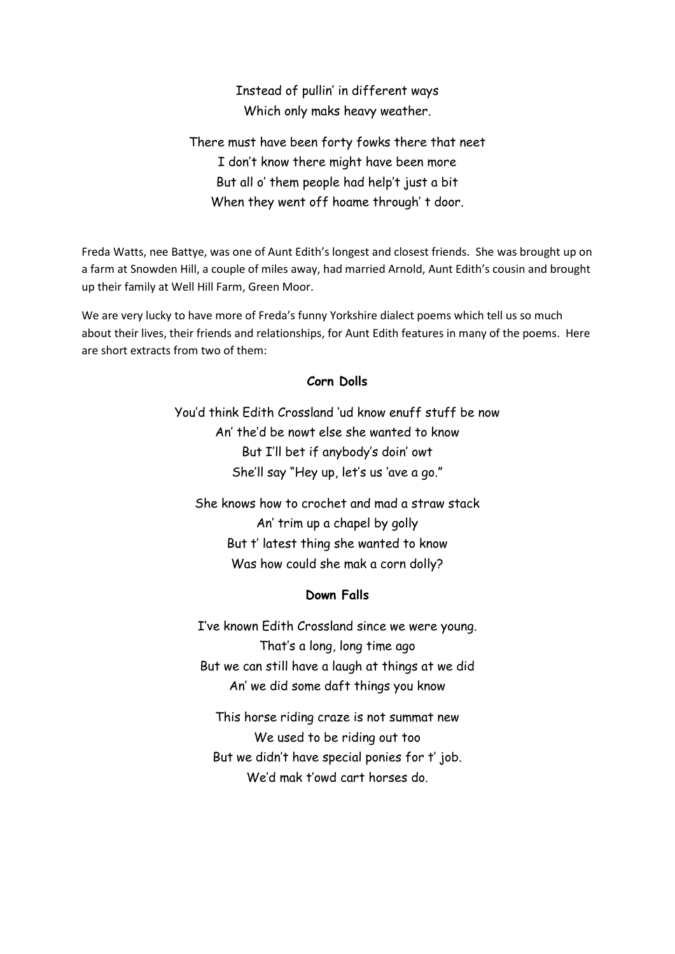Instead of pullin' in different ways Which only maks heavy weather.

There must have been forty fowks there that neet I don't know there might have been more But all o' them people had help't just a bit When they went off hoame through' t door.

Freda Watts, nee Battye, was one of Aunt Edith's longest and closest friends. She was brought up on a farm at Snowden Hill, a couple of miles away, had married Arnold, Aunt Edith's cousin and brought up their family at Well Hill Farm, Green Moor.

We are very lucky to have more of Freda's funny Yorkshire dialect poems which tell us so much about their lives, their friends and relationships, for Aunt Edith features in many of the poems. Here are short extracts from two of them:

## **Corn Dolls**

You'd think Edith Crossland 'ud know enuff stuff be now An' the'd be nowt else she wanted to know But I'll bet if anybody's doin' owt She'll say "Hey up, let's us 'ave a go."

She knows how to crochet and mad a straw stack An' trim up a chapel by golly But t' latest thing she wanted to know Was how could she mak a corn dolly?

### **Down Falls**

I've known Edith Crossland since we were young. That's a long, long time ago But we can still have a laugh at things at we did An' we did some daft things you know

This horse riding craze is not summat new We used to be riding out too But we didn't have special ponies for t' job. We'd mak t'owd cart horses do.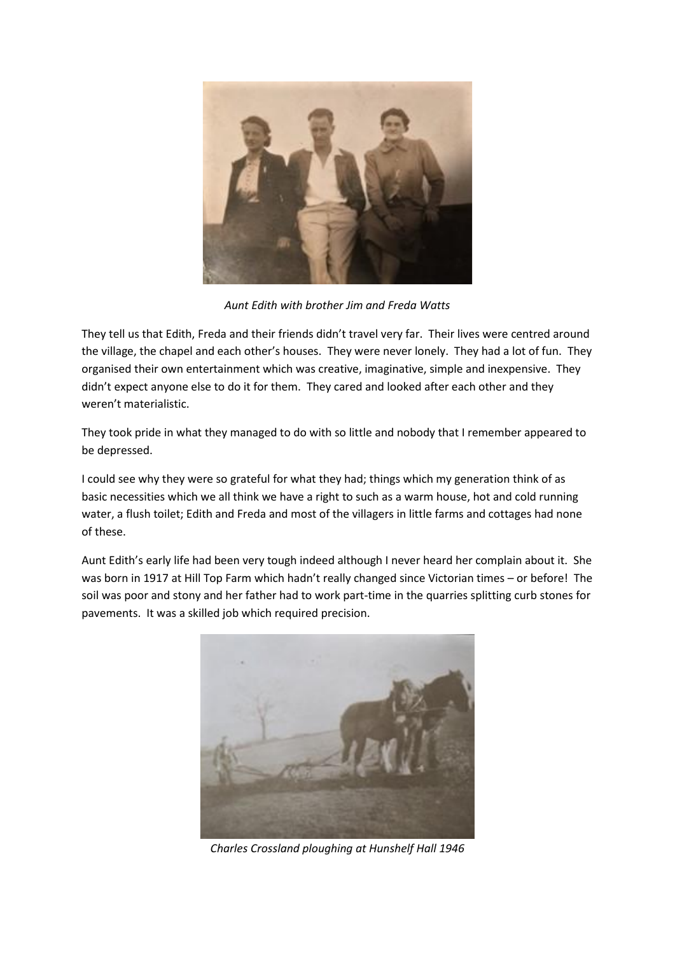

*Aunt Edith with brother Jim and Freda Watts*

They tell us that Edith, Freda and their friends didn't travel very far. Their lives were centred around the village, the chapel and each other's houses. They were never lonely. They had a lot of fun. They organised their own entertainment which was creative, imaginative, simple and inexpensive. They didn't expect anyone else to do it for them. They cared and looked after each other and they weren't materialistic.

They took pride in what they managed to do with so little and nobody that I remember appeared to be depressed.

I could see why they were so grateful for what they had; things which my generation think of as basic necessities which we all think we have a right to such as a warm house, hot and cold running water, a flush toilet; Edith and Freda and most of the villagers in little farms and cottages had none of these.

Aunt Edith's early life had been very tough indeed although I never heard her complain about it. She was born in 1917 at Hill Top Farm which hadn't really changed since Victorian times – or before! The soil was poor and stony and her father had to work part-time in the quarries splitting curb stones for pavements. It was a skilled job which required precision.



*Charles Crossland ploughing at Hunshelf Hall 1946*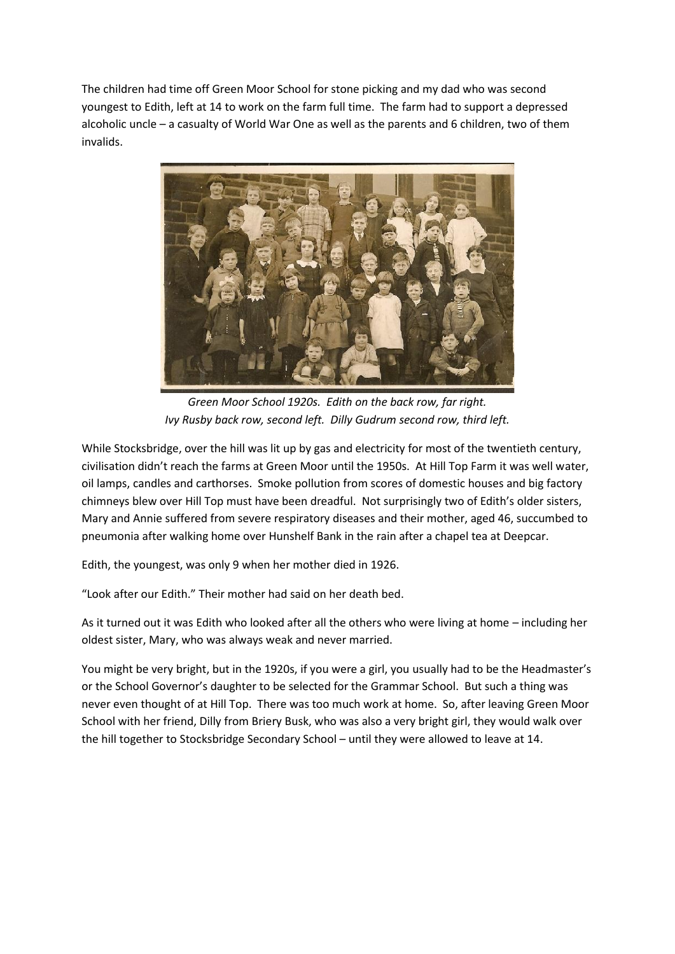The children had time off Green Moor School for stone picking and my dad who was second youngest to Edith, left at 14 to work on the farm full time. The farm had to support a depressed alcoholic uncle – a casualty of World War One as well as the parents and 6 children, two of them invalids.



*Green Moor School 1920s. Edith on the back row, far right. Ivy Rusby back row, second left. Dilly Gudrum second row, third left.*

While Stocksbridge, over the hill was lit up by gas and electricity for most of the twentieth century, civilisation didn't reach the farms at Green Moor until the 1950s. At Hill Top Farm it was well water, oil lamps, candles and carthorses. Smoke pollution from scores of domestic houses and big factory chimneys blew over Hill Top must have been dreadful. Not surprisingly two of Edith's older sisters, Mary and Annie suffered from severe respiratory diseases and their mother, aged 46, succumbed to pneumonia after walking home over Hunshelf Bank in the rain after a chapel tea at Deepcar.

Edith, the youngest, was only 9 when her mother died in 1926.

"Look after our Edith." Their mother had said on her death bed.

As it turned out it was Edith who looked after all the others who were living at home – including her oldest sister, Mary, who was always weak and never married.

You might be very bright, but in the 1920s, if you were a girl, you usually had to be the Headmaster's or the School Governor's daughter to be selected for the Grammar School. But such a thing was never even thought of at Hill Top. There was too much work at home. So, after leaving Green Moor School with her friend, Dilly from Briery Busk, who was also a very bright girl, they would walk over the hill together to Stocksbridge Secondary School – until they were allowed to leave at 14.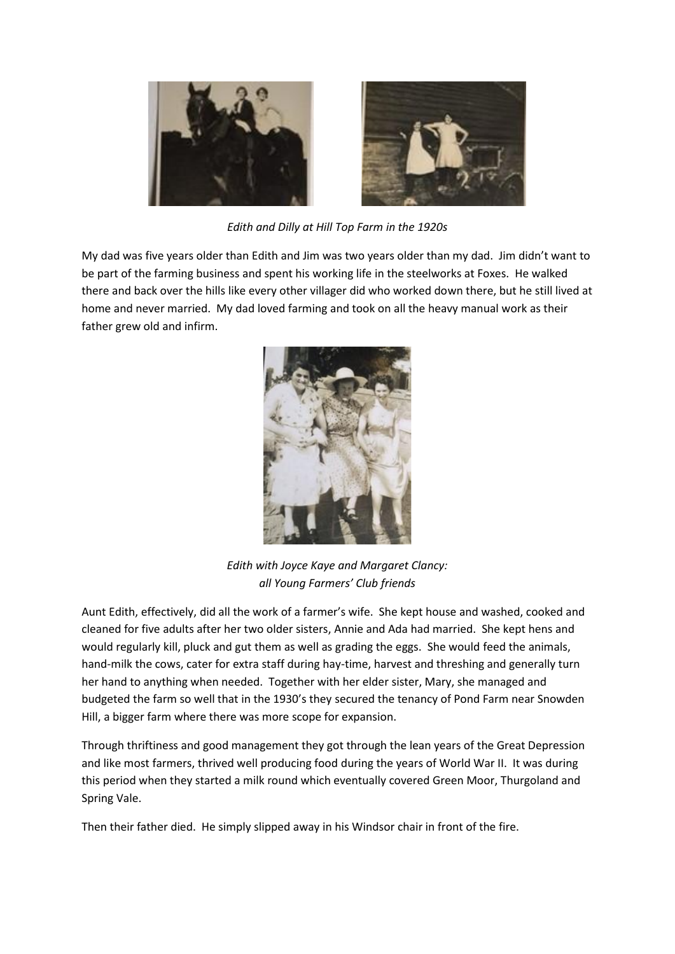

*Edith and Dilly at Hill Top Farm in the 1920s*

My dad was five years older than Edith and Jim was two years older than my dad. Jim didn't want to be part of the farming business and spent his working life in the steelworks at Foxes. He walked there and back over the hills like every other villager did who worked down there, but he still lived at home and never married. My dad loved farming and took on all the heavy manual work as their father grew old and infirm.



*Edith with Joyce Kaye and Margaret Clancy: all Young Farmers' Club friends*

Aunt Edith, effectively, did all the work of a farmer's wife. She kept house and washed, cooked and cleaned for five adults after her two older sisters, Annie and Ada had married. She kept hens and would regularly kill, pluck and gut them as well as grading the eggs. She would feed the animals, hand-milk the cows, cater for extra staff during hay-time, harvest and threshing and generally turn her hand to anything when needed. Together with her elder sister, Mary, she managed and budgeted the farm so well that in the 1930's they secured the tenancy of Pond Farm near Snowden Hill, a bigger farm where there was more scope for expansion.

Through thriftiness and good management they got through the lean years of the Great Depression and like most farmers, thrived well producing food during the years of World War II. It was during this period when they started a milk round which eventually covered Green Moor, Thurgoland and Spring Vale.

Then their father died. He simply slipped away in his Windsor chair in front of the fire.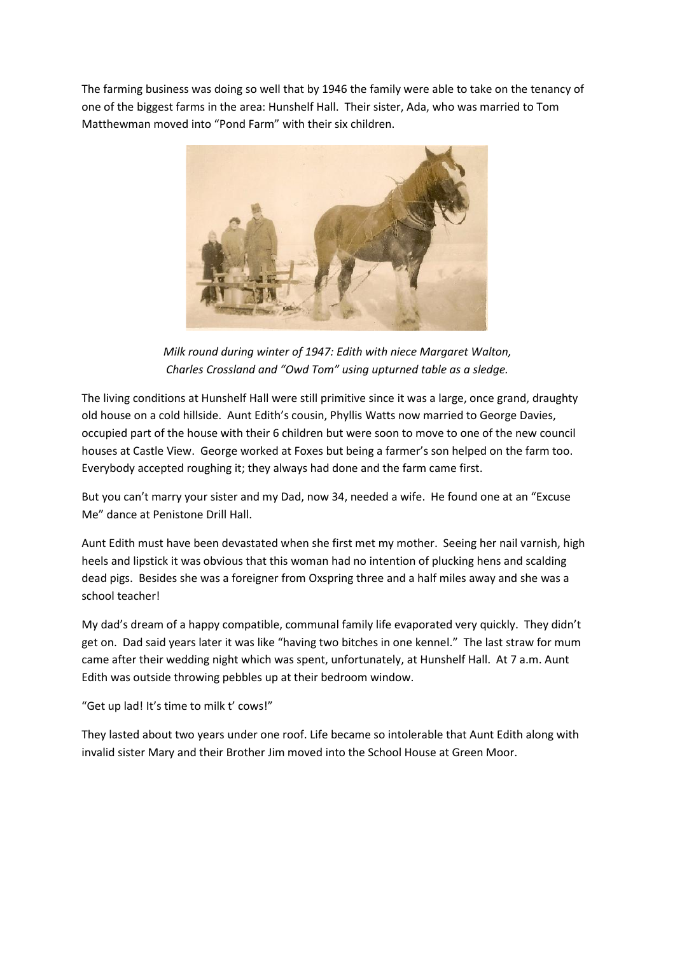The farming business was doing so well that by 1946 the family were able to take on the tenancy of one of the biggest farms in the area: Hunshelf Hall. Their sister, Ada, who was married to Tom Matthewman moved into "Pond Farm" with their six children.



*Milk round during winter of 1947: Edith with niece Margaret Walton, Charles Crossland and "Owd Tom" using upturned table as a sledge.*

The living conditions at Hunshelf Hall were still primitive since it was a large, once grand, draughty old house on a cold hillside. Aunt Edith's cousin, Phyllis Watts now married to George Davies, occupied part of the house with their 6 children but were soon to move to one of the new council houses at Castle View. George worked at Foxes but being a farmer's son helped on the farm too. Everybody accepted roughing it; they always had done and the farm came first.

But you can't marry your sister and my Dad, now 34, needed a wife. He found one at an "Excuse Me" dance at Penistone Drill Hall.

Aunt Edith must have been devastated when she first met my mother. Seeing her nail varnish, high heels and lipstick it was obvious that this woman had no intention of plucking hens and scalding dead pigs. Besides she was a foreigner from Oxspring three and a half miles away and she was a school teacher!

My dad's dream of a happy compatible, communal family life evaporated very quickly. They didn't get on. Dad said years later it was like "having two bitches in one kennel." The last straw for mum came after their wedding night which was spent, unfortunately, at Hunshelf Hall. At 7 a.m. Aunt Edith was outside throwing pebbles up at their bedroom window.

"Get up lad! It's time to milk t' cows!"

They lasted about two years under one roof. Life became so intolerable that Aunt Edith along with invalid sister Mary and their Brother Jim moved into the School House at Green Moor.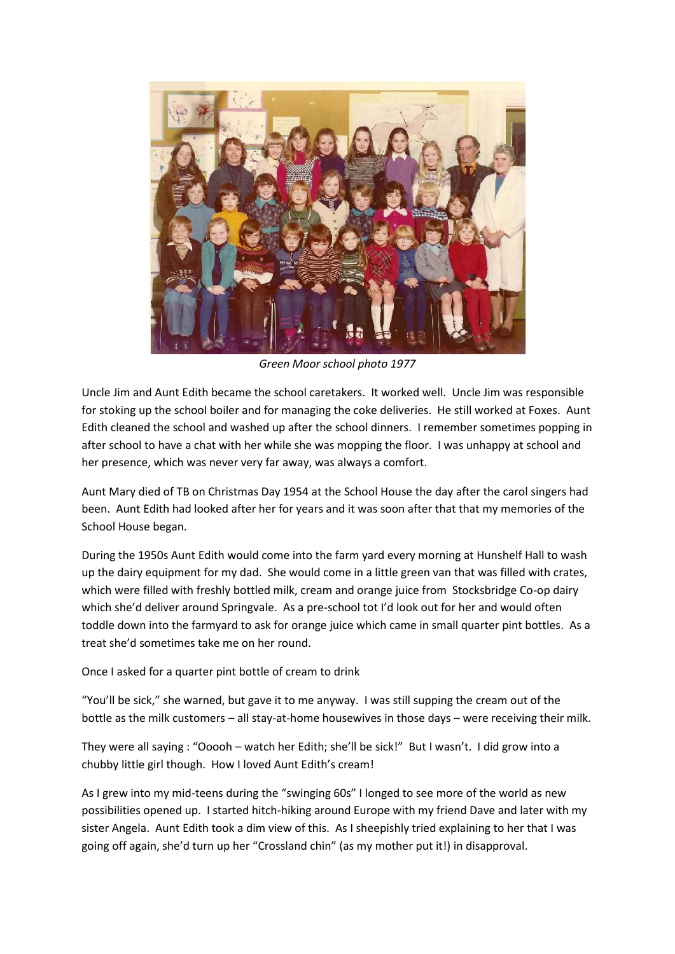

*Green Moor school photo 1977*

Uncle Jim and Aunt Edith became the school caretakers. It worked well. Uncle Jim was responsible for stoking up the school boiler and for managing the coke deliveries. He still worked at Foxes. Aunt Edith cleaned the school and washed up after the school dinners. I remember sometimes popping in after school to have a chat with her while she was mopping the floor. I was unhappy at school and her presence, which was never very far away, was always a comfort.

Aunt Mary died of TB on Christmas Day 1954 at the School House the day after the carol singers had been. Aunt Edith had looked after her for years and it was soon after that that my memories of the School House began.

During the 1950s Aunt Edith would come into the farm yard every morning at Hunshelf Hall to wash up the dairy equipment for my dad. She would come in a little green van that was filled with crates, which were filled with freshly bottled milk, cream and orange juice from Stocksbridge Co-op dairy which she'd deliver around Springvale. As a pre-school tot I'd look out for her and would often toddle down into the farmyard to ask for orange juice which came in small quarter pint bottles. As a treat she'd sometimes take me on her round.

Once I asked for a quarter pint bottle of cream to drink

"You'll be sick," she warned, but gave it to me anyway. I was still supping the cream out of the bottle as the milk customers – all stay-at-home housewives in those days – were receiving their milk.

They were all saying : "Ooooh – watch her Edith; she'll be sick!" But I wasn't. I did grow into a chubby little girl though. How I loved Aunt Edith's cream!

As I grew into my mid-teens during the "swinging 60s" I longed to see more of the world as new possibilities opened up. I started hitch-hiking around Europe with my friend Dave and later with my sister Angela. Aunt Edith took a dim view of this. As I sheepishly tried explaining to her that I was going off again, she'd turn up her "Crossland chin" (as my mother put it!) in disapproval.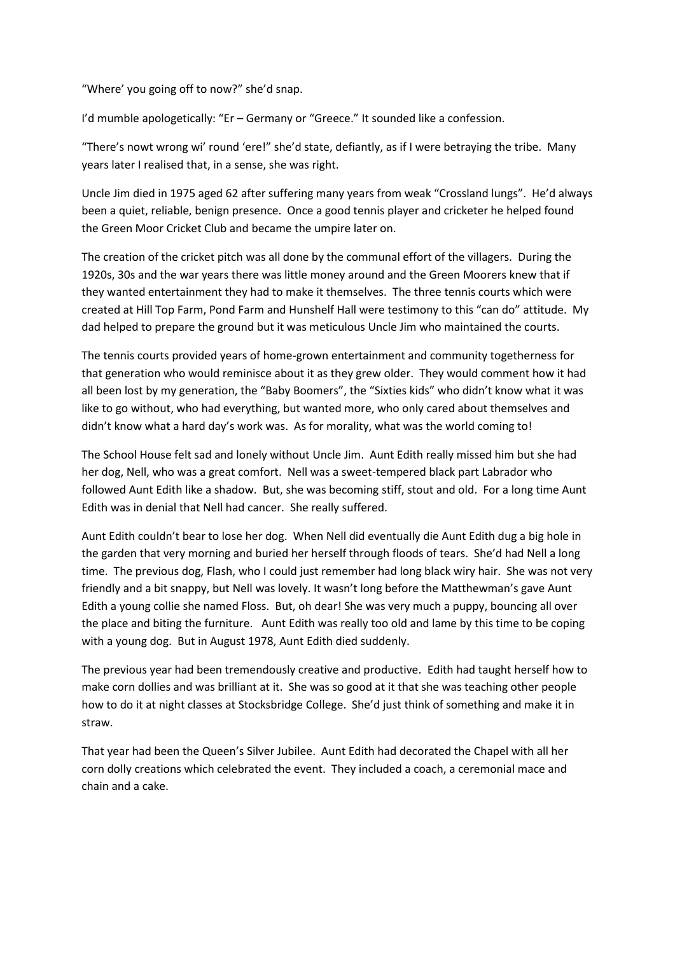"Where' you going off to now?" she'd snap.

I'd mumble apologetically: "Er – Germany or "Greece." It sounded like a confession.

"There's nowt wrong wi' round 'ere!" she'd state, defiantly, as if I were betraying the tribe. Many years later I realised that, in a sense, she was right.

Uncle Jim died in 1975 aged 62 after suffering many years from weak "Crossland lungs". He'd always been a quiet, reliable, benign presence. Once a good tennis player and cricketer he helped found the Green Moor Cricket Club and became the umpire later on.

The creation of the cricket pitch was all done by the communal effort of the villagers. During the 1920s, 30s and the war years there was little money around and the Green Moorers knew that if they wanted entertainment they had to make it themselves. The three tennis courts which were created at Hill Top Farm, Pond Farm and Hunshelf Hall were testimony to this "can do" attitude. My dad helped to prepare the ground but it was meticulous Uncle Jim who maintained the courts.

The tennis courts provided years of home-grown entertainment and community togetherness for that generation who would reminisce about it as they grew older. They would comment how it had all been lost by my generation, the "Baby Boomers", the "Sixties kids" who didn't know what it was like to go without, who had everything, but wanted more, who only cared about themselves and didn't know what a hard day's work was. As for morality, what was the world coming to!

The School House felt sad and lonely without Uncle Jim. Aunt Edith really missed him but she had her dog, Nell, who was a great comfort. Nell was a sweet-tempered black part Labrador who followed Aunt Edith like a shadow. But, she was becoming stiff, stout and old. For a long time Aunt Edith was in denial that Nell had cancer. She really suffered.

Aunt Edith couldn't bear to lose her dog. When Nell did eventually die Aunt Edith dug a big hole in the garden that very morning and buried her herself through floods of tears. She'd had Nell a long time. The previous dog, Flash, who I could just remember had long black wiry hair. She was not very friendly and a bit snappy, but Nell was lovely. It wasn't long before the Matthewman's gave Aunt Edith a young collie she named Floss. But, oh dear! She was very much a puppy, bouncing all over the place and biting the furniture. Aunt Edith was really too old and lame by this time to be coping with a young dog. But in August 1978, Aunt Edith died suddenly.

The previous year had been tremendously creative and productive. Edith had taught herself how to make corn dollies and was brilliant at it. She was so good at it that she was teaching other people how to do it at night classes at Stocksbridge College. She'd just think of something and make it in straw.

That year had been the Queen's Silver Jubilee. Aunt Edith had decorated the Chapel with all her corn dolly creations which celebrated the event. They included a coach, a ceremonial mace and chain and a cake.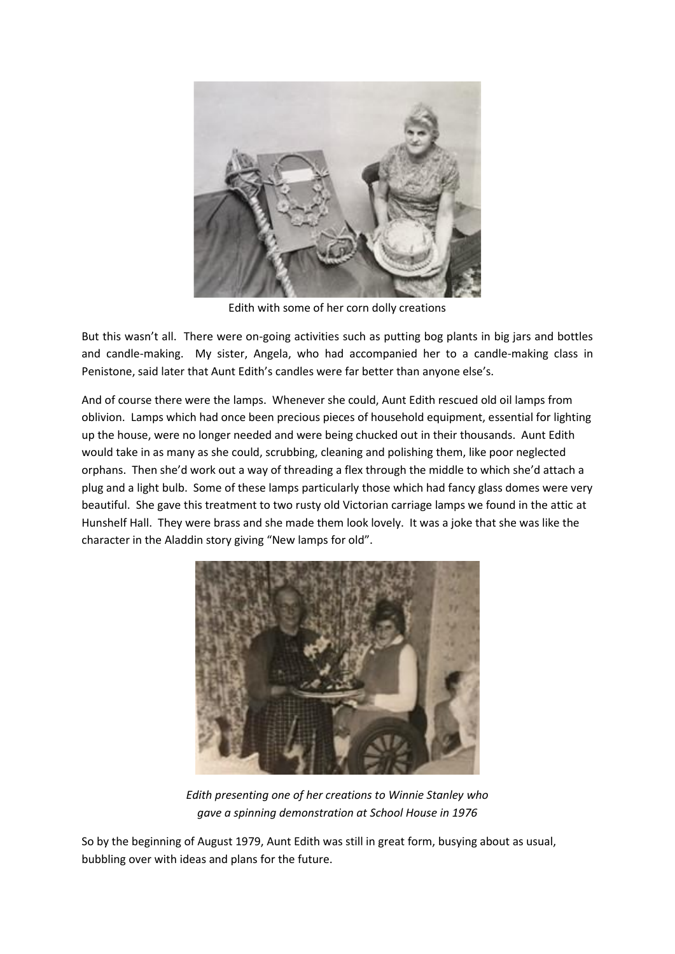

Edith with some of her corn dolly creations

But this wasn't all. There were on-going activities such as putting bog plants in big jars and bottles and candle-making. My sister, Angela, who had accompanied her to a candle-making class in Penistone, said later that Aunt Edith's candles were far better than anyone else's.

And of course there were the lamps. Whenever she could, Aunt Edith rescued old oil lamps from oblivion. Lamps which had once been precious pieces of household equipment, essential for lighting up the house, were no longer needed and were being chucked out in their thousands. Aunt Edith would take in as many as she could, scrubbing, cleaning and polishing them, like poor neglected orphans. Then she'd work out a way of threading a flex through the middle to which she'd attach a plug and a light bulb. Some of these lamps particularly those which had fancy glass domes were very beautiful. She gave this treatment to two rusty old Victorian carriage lamps we found in the attic at Hunshelf Hall. They were brass and she made them look lovely. It was a joke that she was like the character in the Aladdin story giving "New lamps for old".



*Edith presenting one of her creations to Winnie Stanley who gave a spinning demonstration at School House in 1976*

So by the beginning of August 1979, Aunt Edith was still in great form, busying about as usual, bubbling over with ideas and plans for the future.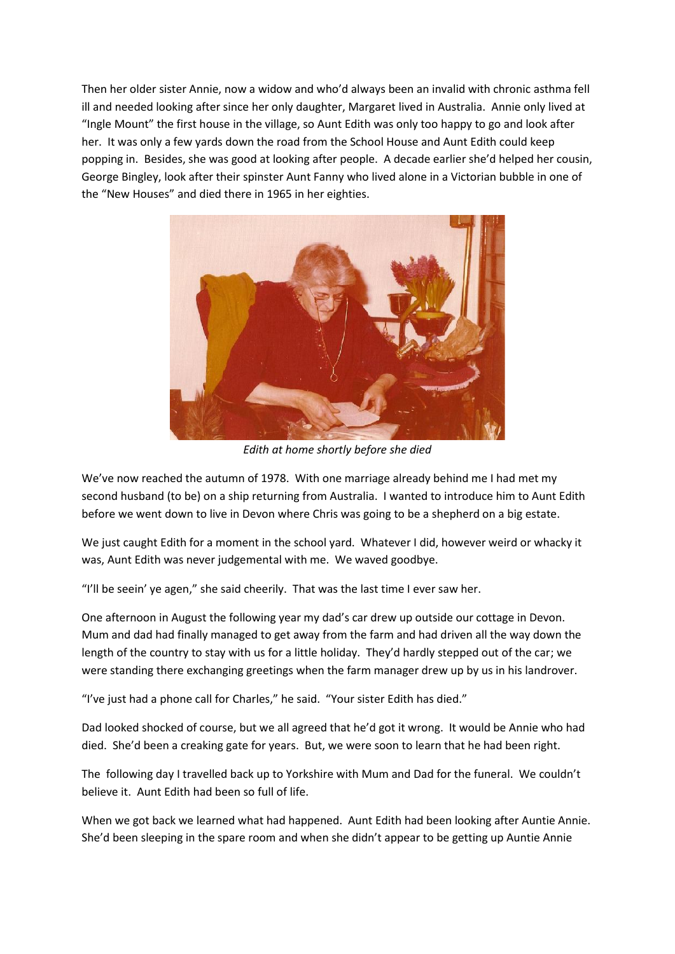Then her older sister Annie, now a widow and who'd always been an invalid with chronic asthma fell ill and needed looking after since her only daughter, Margaret lived in Australia. Annie only lived at "Ingle Mount" the first house in the village, so Aunt Edith was only too happy to go and look after her. It was only a few yards down the road from the School House and Aunt Edith could keep popping in. Besides, she was good at looking after people. A decade earlier she'd helped her cousin, George Bingley, look after their spinster Aunt Fanny who lived alone in a Victorian bubble in one of the "New Houses" and died there in 1965 in her eighties.



*Edith at home shortly before she died*

We've now reached the autumn of 1978. With one marriage already behind me I had met my second husband (to be) on a ship returning from Australia. I wanted to introduce him to Aunt Edith before we went down to live in Devon where Chris was going to be a shepherd on a big estate.

We just caught Edith for a moment in the school yard. Whatever I did, however weird or whacky it was, Aunt Edith was never judgemental with me. We waved goodbye.

"I'll be seein' ye agen," she said cheerily. That was the last time I ever saw her.

One afternoon in August the following year my dad's car drew up outside our cottage in Devon. Mum and dad had finally managed to get away from the farm and had driven all the way down the length of the country to stay with us for a little holiday. They'd hardly stepped out of the car; we were standing there exchanging greetings when the farm manager drew up by us in his landrover.

"I've just had a phone call for Charles," he said. "Your sister Edith has died."

Dad looked shocked of course, but we all agreed that he'd got it wrong. It would be Annie who had died. She'd been a creaking gate for years. But, we were soon to learn that he had been right.

The following day I travelled back up to Yorkshire with Mum and Dad for the funeral. We couldn't believe it. Aunt Edith had been so full of life.

When we got back we learned what had happened. Aunt Edith had been looking after Auntie Annie. She'd been sleeping in the spare room and when she didn't appear to be getting up Auntie Annie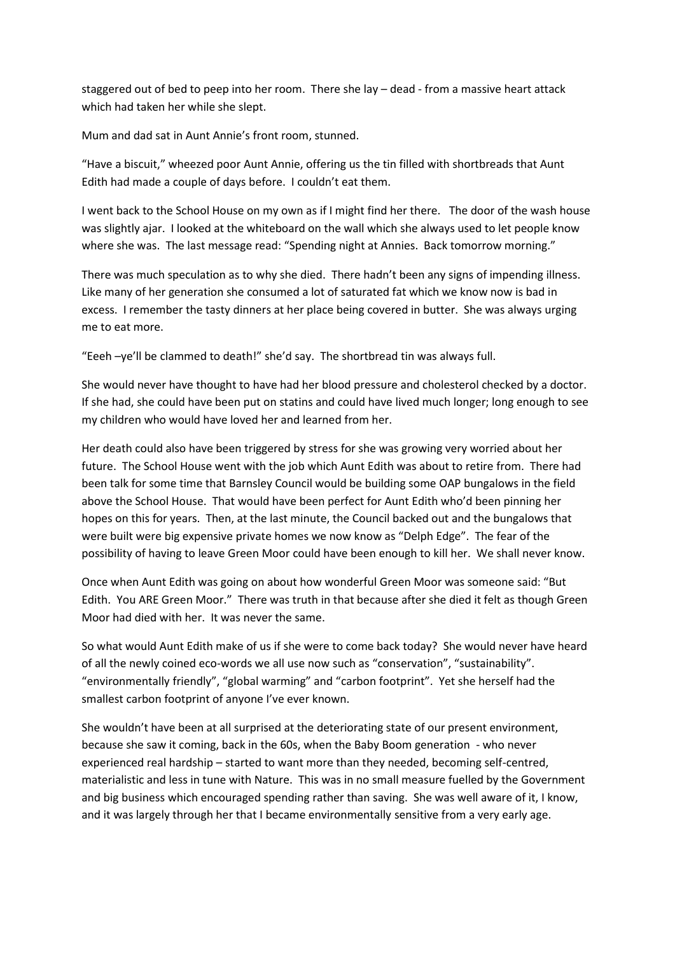staggered out of bed to peep into her room. There she lay – dead - from a massive heart attack which had taken her while she slept.

Mum and dad sat in Aunt Annie's front room, stunned.

"Have a biscuit," wheezed poor Aunt Annie, offering us the tin filled with shortbreads that Aunt Edith had made a couple of days before. I couldn't eat them.

I went back to the School House on my own as if I might find her there. The door of the wash house was slightly ajar. I looked at the whiteboard on the wall which she always used to let people know where she was. The last message read: "Spending night at Annies. Back tomorrow morning."

There was much speculation as to why she died. There hadn't been any signs of impending illness. Like many of her generation she consumed a lot of saturated fat which we know now is bad in excess. I remember the tasty dinners at her place being covered in butter. She was always urging me to eat more.

"Eeeh –ye'll be clammed to death!" she'd say. The shortbread tin was always full.

She would never have thought to have had her blood pressure and cholesterol checked by a doctor. If she had, she could have been put on statins and could have lived much longer; long enough to see my children who would have loved her and learned from her.

Her death could also have been triggered by stress for she was growing very worried about her future. The School House went with the job which Aunt Edith was about to retire from. There had been talk for some time that Barnsley Council would be building some OAP bungalows in the field above the School House. That would have been perfect for Aunt Edith who'd been pinning her hopes on this for years. Then, at the last minute, the Council backed out and the bungalows that were built were big expensive private homes we now know as "Delph Edge". The fear of the possibility of having to leave Green Moor could have been enough to kill her. We shall never know.

Once when Aunt Edith was going on about how wonderful Green Moor was someone said: "But Edith. You ARE Green Moor." There was truth in that because after she died it felt as though Green Moor had died with her. It was never the same.

So what would Aunt Edith make of us if she were to come back today? She would never have heard of all the newly coined eco-words we all use now such as "conservation", "sustainability". "environmentally friendly", "global warming" and "carbon footprint". Yet she herself had the smallest carbon footprint of anyone I've ever known.

She wouldn't have been at all surprised at the deteriorating state of our present environment, because she saw it coming, back in the 60s, when the Baby Boom generation - who never experienced real hardship – started to want more than they needed, becoming self-centred, materialistic and less in tune with Nature. This was in no small measure fuelled by the Government and big business which encouraged spending rather than saving. She was well aware of it, I know, and it was largely through her that I became environmentally sensitive from a very early age.